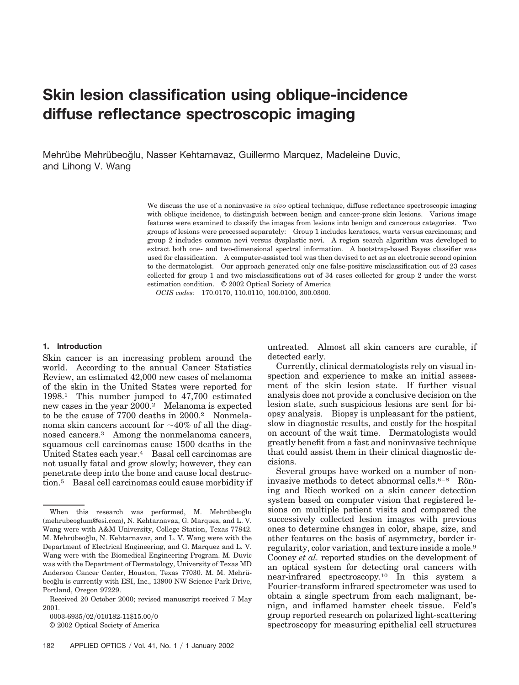# **Skin lesion classification using oblique-incidence diffuse reflectance spectroscopic imaging**

Mehrübe Mehrübeoğlu, Nasser Kehtarnavaz, Guillermo Marquez, Madeleine Duvic, and Lihong V. Wang

> We discuss the use of a noninvasive *in vivo* optical technique, diffuse reflectance spectroscopic imaging with oblique incidence, to distinguish between benign and cancer-prone skin lesions. Various image features were examined to classify the images from lesions into benign and cancerous categories. Two groups of lesions were processed separately: Group 1 includes keratoses, warts versus carcinomas; and group 2 includes common nevi versus dysplastic nevi. A region search algorithm was developed to extract both one- and two-dimensional spectral information. A bootstrap-based Bayes classifier was used for classification. A computer-assisted tool was then devised to act as an electronic second opinion to the dermatologist. Our approach generated only one false-positive misclassification out of 23 cases collected for group 1 and two misclassifications out of 34 cases collected for group 2 under the worst estimation condition. © 2002 Optical Society of America

*OCIS codes:* 170.0170, 110.0110, 100.0100, 300.0300.

#### **1. Introduction**

Skin cancer is an increasing problem around the world. According to the annual Cancer Statistics Review, an estimated 42,000 new cases of melanoma of the skin in the United States were reported for 1998.1 This number jumped to 47,700 estimated new cases in the year 2000.2 Melanoma is expected to be the cause of 7700 deaths in 2000.2 Nonmelanoma skin cancers account for  $\sim$ 40% of all the diagnosed cancers.3 Among the nonmelanoma cancers, squamous cell carcinomas cause 1500 deaths in the United States each year.4 Basal cell carcinomas are not usually fatal and grow slowly; however, they can penetrate deep into the bone and cause local destruction.5 Basal cell carcinomas could cause morbidity if

0003-6935/02/010182-11\$15.00/0

© 2002 Optical Society of America

untreated. Almost all skin cancers are curable, if detected early.

Currently, clinical dermatologists rely on visual inspection and experience to make an initial assessment of the skin lesion state. If further visual analysis does not provide a conclusive decision on the lesion state, such suspicious lesions are sent for biopsy analysis. Biopsy is unpleasant for the patient, slow in diagnostic results, and costly for the hospital on account of the wait time. Dermatologists would greatly benefit from a fast and noninvasive technique that could assist them in their clinical diagnostic decisions.

Several groups have worked on a number of noninvasive methods to detect abnormal cells. $6-8$  Röning and Riech worked on a skin cancer detection system based on computer vision that registered lesions on multiple patient visits and compared the successively collected lesion images with previous ones to determine changes in color, shape, size, and other features on the basis of asymmetry, border irregularity, color variation, and texture inside a mole.9 Cooney *et al.* reported studies on the development of an optical system for detecting oral cancers with near-infrared spectroscopy.10 In this system a Fourier-transform infrared spectrometer was used to obtain a single spectrum from each malignant, benign, and inflamed hamster cheek tissue. Feld's group reported research on polarized light-scattering spectroscopy for measuring epithelial cell structures

When this research was performed, M. Mehrübeoğlu -mehrubeoglum@esi.com, N. Kehtarnavaz, G. Marquez, and L. V. Wang were with A&M University, College Station, Texas 77842. M. Mehrübeoğlu, N. Kehtarnavaz, and L. V. Wang were with the Department of Electrical Engineering, and G. Marquez and L. V. Wang were with the Biomedical Engineering Program. M. Duvic was with the Department of Dermatology, University of Texas MD Anderson Cancer Center, Houston, Texas 77030. M. M. Mehrübeoğlu is currently with ESI, Inc., 13900 NW Science Park Drive, Portland, Oregon 97229.

Received 20 October 2000; revised manuscript received 7 May 2001.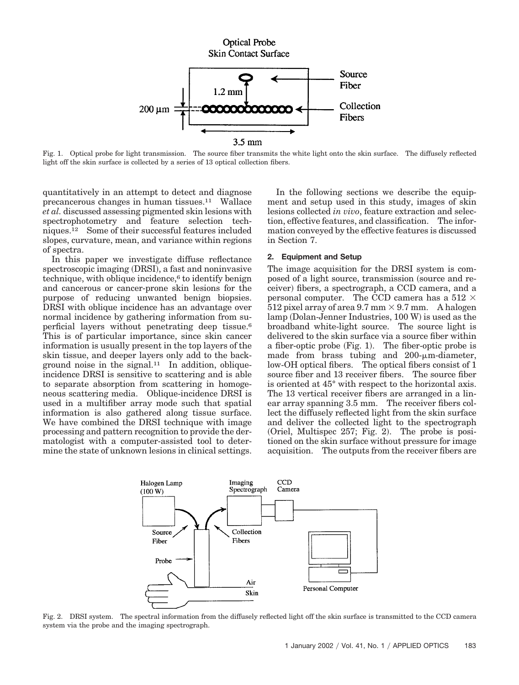

Fig. 1. Optical probe for light transmission. The source fiber transmits the white light onto the skin surface. The diffusely reflected light off the skin surface is collected by a series of 13 optical collection fibers.

quantitatively in an attempt to detect and diagnose precancerous changes in human tissues.11 Wallace *et al.* discussed assessing pigmented skin lesions with spectrophotometry and feature selection techniques.12 Some of their successful features included slopes, curvature, mean, and variance within regions of spectra.

In this paper we investigate diffuse reflectance spectroscopic imaging (DRSI), a fast and noninvasive technique, with oblique incidence,<sup>6</sup> to identify benign and cancerous or cancer-prone skin lesions for the purpose of reducing unwanted benign biopsies. DRSI with oblique incidence has an advantage over normal incidence by gathering information from superficial layers without penetrating deep tissue.6 This is of particular importance, since skin cancer information is usually present in the top layers of the skin tissue, and deeper layers only add to the background noise in the signal. $11$  In addition, obliqueincidence DRSI is sensitive to scattering and is able to separate absorption from scattering in homogeneous scattering media. Oblique-incidence DRSI is used in a multifiber array mode such that spatial information is also gathered along tissue surface. We have combined the DRSI technique with image processing and pattern recognition to provide the dermatologist with a computer-assisted tool to determine the state of unknown lesions in clinical settings.

In the following sections we describe the equipment and setup used in this study, images of skin lesions collected *in vivo*, feature extraction and selection, effective features, and classification. The information conveyed by the effective features is discussed in Section 7.

# **2. Equipment and Setup**

The image acquisition for the DRSI system is composed of a light source, transmission (source and receiver) fibers, a spectrograph, a CCD camera, and a personal computer. The CCD camera has a 512  $\times$ 512 pixel array of area 9.7 mm  $\times$  9.7 mm. A halogen lamp (Dolan-Jenner Industries, 100 W) is used as the broadband white-light source. The source light is delivered to the skin surface via a source fiber within a fiber-optic probe (Fig. 1). The fiber-optic probe is made from brass tubing and  $200$ - $\mu$ m-diameter, low-OH optical fibers. The optical fibers consist of 1 source fiber and 13 receiver fibers. The source fiber is oriented at 45° with respect to the horizontal axis. The 13 vertical receiver fibers are arranged in a linear array spanning 3.5 mm. The receiver fibers collect the diffusely reflected light from the skin surface and deliver the collected light to the spectrograph (Oriel, Multispec 257; Fig. 2). The probe is positioned on the skin surface without pressure for image acquisition. The outputs from the receiver fibers are



Fig. 2. DRSI system. The spectral information from the diffusely reflected light off the skin surface is transmitted to the CCD camera system via the probe and the imaging spectrograph.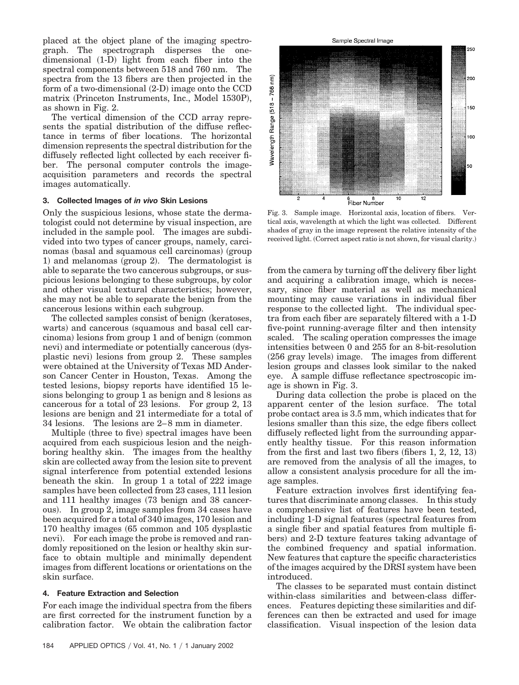placed at the object plane of the imaging spectrograph. The spectrograph disperses the onedimensional (1-D) light from each fiber into the spectral components between 518 and 760 nm. The spectra from the 13 fibers are then projected in the form of a two-dimensional  $(2\text{-}D)$  image onto the CCD matrix (Princeton Instruments, Inc., Model 1530P), as shown in Fig. 2.

The vertical dimension of the CCD array represents the spatial distribution of the diffuse reflectance in terms of fiber locations. The horizontal dimension represents the spectral distribution for the diffusely reflected light collected by each receiver fiber. The personal computer controls the imageacquisition parameters and records the spectral images automatically.

# **3. Collected Images of** *in vivo* **Skin Lesions**

Only the suspicious lesions, whose state the dermatologist could not determine by visual inspection, are included in the sample pool. The images are subdivided into two types of cancer groups, namely, carcinomas (basal and squamous cell carcinomas) (group 1) and melanomas (group 2). The dermatologist is able to separate the two cancerous subgroups, or suspicious lesions belonging to these subgroups, by color and other visual textural characteristics; however, she may not be able to separate the benign from the cancerous lesions within each subgroup.

The collected samples consist of benign (keratoses, warts) and cancerous (squamous and basal cell carcinoma) lesions from group 1 and of benign (common nevi) and intermediate or potentially cancerous (dysplastic nevi) lesions from group 2. These samples were obtained at the University of Texas MD Anderson Cancer Center in Houston, Texas. Among the tested lesions, biopsy reports have identified 15 lesions belonging to group 1 as benign and 8 lesions as cancerous for a total of 23 lesions. For group 2, 13 lesions are benign and 21 intermediate for a total of 34 lesions. The lesions are 2–8 mm in diameter.

Multiple (three to five) spectral images have been acquired from each suspicious lesion and the neighboring healthy skin. The images from the healthy skin are collected away from the lesion site to prevent signal interference from potential extended lesions beneath the skin. In group 1 a total of 222 image samples have been collected from 23 cases, 111 lesion and 111 healthy images (73 benign and 38 cancerous. In group 2, image samples from 34 cases have been acquired for a total of 340 images, 170 lesion and 170 healthy images (65 common and 105 dysplastic nevi. For each image the probe is removed and randomly repositioned on the lesion or healthy skin surface to obtain multiple and minimally dependent images from different locations or orientations on the skin surface.

# **4. Feature Extraction and Selection**

For each image the individual spectra from the fibers are first corrected for the instrument function by a calibration factor. We obtain the calibration factor



Fig. 3. Sample image. Horizontal axis, location of fibers. Vertical axis, wavelength at which the light was collected. Different shades of gray in the image represent the relative intensity of the received light. (Correct aspect ratio is not shown, for visual clarity.)

from the camera by turning off the delivery fiber light and acquiring a calibration image, which is necessary, since fiber material as well as mechanical mounting may cause variations in individual fiber response to the collected light. The individual spectra from each fiber are separately filtered with a 1-D five-point running-average filter and then intensity scaled. The scaling operation compresses the image intensities between 0 and 255 for an 8-bit-resolution (256 gray levels) image. The images from different lesion groups and classes look similar to the naked eye. A sample diffuse reflectance spectroscopic image is shown in Fig. 3.

During data collection the probe is placed on the apparent center of the lesion surface. The total probe contact area is 3.5 mm, which indicates that for lesions smaller than this size, the edge fibers collect diffusely reflected light from the surrounding apparently healthy tissue. For this reason information from the first and last two fibers (fibers  $1, 2, 12, 13$ ) are removed from the analysis of all the images, to allow a consistent analysis procedure for all the image samples.

Feature extraction involves first identifying features that discriminate among classes. In this study a comprehensive list of features have been tested, including 1-D signal features (spectral features from a single fiber and spatial features from multiple fibers) and 2-D texture features taking advantage of the combined frequency and spatial information. New features that capture the specific characteristics of the images acquired by the DRSI system have been introduced.

The classes to be separated must contain distinct within-class similarities and between-class differences. Features depicting these similarities and differences can then be extracted and used for image classification. Visual inspection of the lesion data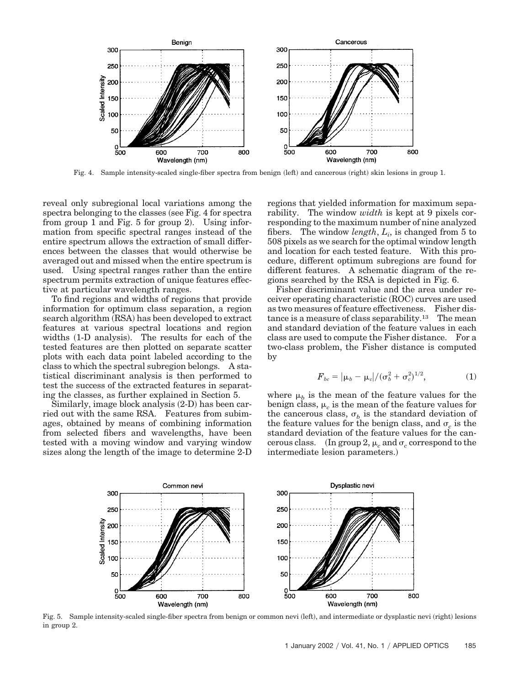

Fig. 4. Sample intensity-scaled single-fiber spectra from benign (left) and cancerous (right) skin lesions in group 1.

reveal only subregional local variations among the spectra belonging to the classes (see Fig. 4 for spectra from group 1 and Fig.  $5$  for group 2). Using information from specific spectral ranges instead of the entire spectrum allows the extraction of small differences between the classes that would otherwise be averaged out and missed when the entire spectrum is used. Using spectral ranges rather than the entire spectrum permits extraction of unique features effective at particular wavelength ranges.

To find regions and widths of regions that provide information for optimum class separation, a region search algorithm (RSA) has been developed to extract features at various spectral locations and region widths (1-D analysis). The results for each of the tested features are then plotted on separate scatter plots with each data point labeled according to the class to which the spectral subregion belongs. A statistical discriminant analysis is then performed to test the success of the extracted features in separating the classes, as further explained in Section 5.

Similarly, image block analysis (2-D) has been carried out with the same RSA. Features from subimages, obtained by means of combining information from selected fibers and wavelengths, have been tested with a moving window and varying window sizes along the length of the image to determine 2-D regions that yielded information for maximum separability. The window *width* is kept at 9 pixels corresponding to the maximum number of nine analyzed fibers. The window *length*,  $L_i$ , is changed from 5 to 508 pixels as we search for the optimal window length and location for each tested feature. With this procedure, different optimum subregions are found for different features. A schematic diagram of the regions searched by the RSA is depicted in Fig. 6.

Fisher discriminant value and the area under receiver operating characteristic (ROC) curves are used as two measures of feature effectiveness. Fisher distance is a measure of class separability.<sup>13</sup> The mean and standard deviation of the feature values in each class are used to compute the Fisher distance. For a two-class problem, the Fisher distance is computed by

$$
F_{bc} = |\mu_b - \mu_c|/(\sigma_b^2 + \sigma_c^2)^{1/2}, \tag{1}
$$

where  $\mu_b$  is the mean of the feature values for the benign class,  $\mu_c$  is the mean of the feature values for the cancerous class,  $\sigma_b$  is the standard deviation of the feature values for the benign class, and  $\sigma_c$  is the standard deviation of the feature values for the cancerous class.  $\;\;$  (In group 2,  $\mu_c$  and  $\sigma_c$  correspond to the intermediate lesion parameters.



Fig. 5. Sample intensity-scaled single-fiber spectra from benign or common nevi (left), and intermediate or dysplastic nevi (right) lesions in group 2.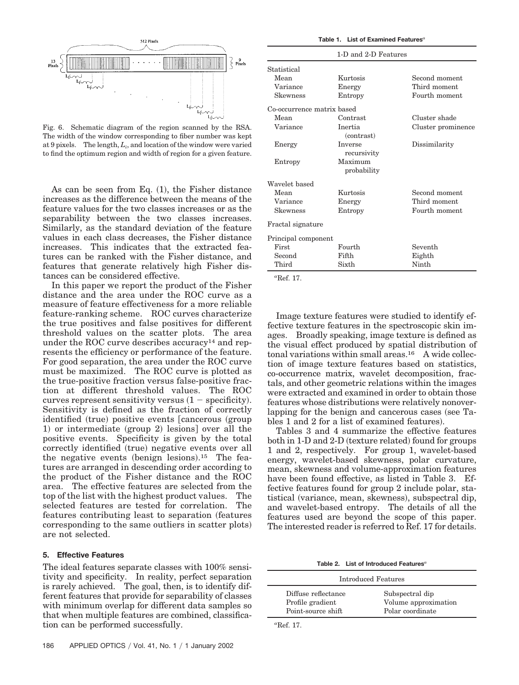

Fig. 6. Schematic diagram of the region scanned by the RSA. The width of the window corresponding to fiber number was kept at 9 pixels. The length, *Li* , and location of the window were varied to find the optimum region and width of region for a given feature.

As can be seen from Eq.  $(1)$ , the Fisher distance increases as the difference between the means of the feature values for the two classes increases or as the separability between the two classes increases. Similarly, as the standard deviation of the feature values in each class decreases, the Fisher distance increases. This indicates that the extracted features can be ranked with the Fisher distance, and features that generate relatively high Fisher distances can be considered effective.

In this paper we report the product of the Fisher distance and the area under the ROC curve as a measure of feature effectiveness for a more reliable feature-ranking scheme. ROC curves characterize the true positives and false positives for different threshold values on the scatter plots. The area under the ROC curve describes accuracy<sup>14</sup> and represents the efficiency or performance of the feature. For good separation, the area under the ROC curve must be maximized. The ROC curve is plotted as the true-positive fraction versus false-positive fraction at different threshold values. The ROC curves represent sensitivity versus  $(1 - \text{specificity}).$ Sensitivity is defined as the fraction of correctly identified (true) positive events [cancerous (group 1) or intermediate (group 2) lesions] over all the positive events. Specificity is given by the total correctly identified (true) negative events over all the negative events (benign lesions).<sup>15</sup> The features are arranged in descending order according to the product of the Fisher distance and the ROC area. The effective features are selected from the top of the list with the highest product values. The selected features are tested for correlation. The features contributing least to separation (features corresponding to the same outliers in scatter plots are not selected.

# **5. Effective Features**

The ideal features separate classes with 100% sensitivity and specificity. In reality, perfect separation is rarely achieved. The goal, then, is to identify different features that provide for separability of classes with minimum overlap for different data samples so that when multiple features are combined, classification can be performed successfully.

|                            | 1-D and 2-D Features          |                    |
|----------------------------|-------------------------------|--------------------|
| Statistical                |                               |                    |
| Mean                       | Kurtosis                      | Second moment      |
| Variance                   | Energy                        | Third moment       |
| Skewness                   | Entropy                       | Fourth moment      |
| Co-occurrence matrix based |                               |                    |
| Mean                       | Contrast                      | Cluster shade      |
| Variance                   | <b>Inertia</b><br>(contrast)  | Cluster prominence |
| Energy                     | <b>Inverse</b><br>recursivity | Dissimilarity      |
| Entropy                    | Maximum<br>probability        |                    |
| Wavelet based              |                               |                    |
| Mean                       | Kurtosis                      | Second moment      |
| Variance                   | Energy                        | Third moment       |
| <b>Skewness</b>            | Entropy                       | Fourth moment      |
| Fractal signature          |                               |                    |
| Principal component        |                               |                    |
| <b>First</b>               | Fourth                        | Seventh            |
| Second                     | Fifth                         | Eighth             |
| Third                      | Sixth                         | Ninth              |

*a* Ref. 17.

Image texture features were studied to identify effective texture features in the spectroscopic skin images. Broadly speaking, image texture is defined as the visual effect produced by spatial distribution of tonal variations within small areas.16 A wide collection of image texture features based on statistics, co-occurrence matrix, wavelet decomposition, fractals, and other geometric relations within the images were extracted and examined in order to obtain those features whose distributions were relatively nonoverlapping for the benign and cancerous cases (see Tables 1 and 2 for a list of examined features.

Tables 3 and 4 summarize the effective features both in 1-D and 2-D (texture related) found for groups 1 and 2, respectively. For group 1, wavelet-based energy, wavelet-based skewness, polar curvature, mean, skewness and volume-approximation features have been found effective, as listed in Table 3. Effective features found for group 2 include polar, statistical (variance, mean, skewness), subspectral dip, and wavelet-based entropy. The details of all the features used are beyond the scope of this paper. The interested reader is referred to Ref. 17 for details.

**Table 2. List of Introduced Features**<sup>4</sup>

| Introduced Features |                      |  |  |
|---------------------|----------------------|--|--|
| Diffuse reflectance | Subspectral dip      |  |  |
| Profile gradient    | Volume approximation |  |  |
| Point-source shift  | Polar coordinate     |  |  |

*a* Ref. 17.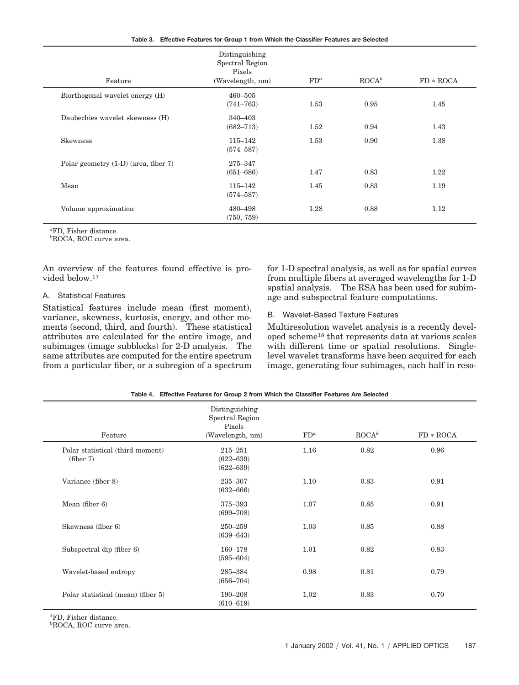|  | Table 3. Effective Features for Group 1 from Which the Classifier Features are Selected |  |  |  |  |  |  |  |  |
|--|-----------------------------------------------------------------------------------------|--|--|--|--|--|--|--|--|
|--|-----------------------------------------------------------------------------------------|--|--|--|--|--|--|--|--|

|                                        | Distinguishing<br>Spectral Region<br>Pixels |        |                 |             |
|----------------------------------------|---------------------------------------------|--------|-----------------|-------------|
| Feature                                | (Wavelength, nm)                            | $FD^a$ | $\text{ROCA}^b$ | $FD * ROCA$ |
| Biorthogonal wavelet energy (H)        | $460 - 505$<br>$(741 - 763)$                | 1.53   | 0.95            | 1.45        |
| Daubechies wavelet skewness (H)        | 340-403<br>$(682 - 713)$                    | 1.52   | 0.94            | 1.43        |
| <b>Skewness</b>                        | $115 - 142$<br>$(574 - 587)$                | 1.53   | 0.90            | 1.38        |
| Polar geometry $(1-D)$ (area, fiber 7) | 275-347<br>$(651 - 686)$                    | 1.47   | 0.83            | 1.22        |
| Mean                                   | 115-142<br>$(574 - 587)$                    | 1.45   | 0.83            | 1.19        |
| Volume approximation                   | 480-498<br>(750, 759)                       | 1.28   | 0.88            | 1.12        |

*a* FD, Fisher distance.

*b* ROCA, ROC curve area.

An overview of the features found effective is provided below.17

# A. Statistical Features

Statistical features include mean (first moment), variance, skewness, kurtosis, energy, and other moments (second, third, and fourth). These statistical attributes are calculated for the entire image, and subimages (image subblocks) for 2-D analysis. The same attributes are computed for the entire spectrum from a particular fiber, or a subregion of a spectrum for 1-D spectral analysis, as well as for spatial curves from multiple fibers at averaged wavelengths for 1-D spatial analysis. The RSA has been used for subimage and subspectral feature computations.

# B. Wavelet-Based Texture Features

Multiresolution wavelet analysis is a recently developed scheme18 that represents data at various scales with different time or spatial resolutions. Singlelevel wavelet transforms have been acquired for each image, generating four subimages, each half in reso-

|                                               | Distinguishing<br>Spectral Region<br>Pixels   |        |                 |             |
|-----------------------------------------------|-----------------------------------------------|--------|-----------------|-------------|
| Feature                                       | (Wavelength, nm)                              | $FD^a$ | $\text{ROCA}^b$ | $FD * ROCA$ |
| Polar statistical (third moment)<br>(fiber 7) | $215 - 251$<br>$(622 - 639)$<br>$(622 - 639)$ | 1.16   | 0.82            | 0.96        |
| Variance (fiber 8)                            | 235-307<br>$(632 - 666)$                      | 1.10   | 0.83            | 0.91        |
| Mean (fiber $6$ )                             | 375-393<br>$(699 - 708)$                      | 1.07   | 0.85            | 0.91        |
| Skewness (fiber 6)                            | $250 - 259$<br>$(639 - 643)$                  | 1.03   | 0.85            | 0.88        |
| Subspectral dip (fiber 6)                     | $160 - 178$<br>$(595 - 604)$                  | 1.01   | 0.82            | 0.83        |
| Wavelet-based entropy                         | 285-384<br>$(656 - 704)$                      | 0.98   | 0.81            | 0.79        |
| Polar statistical (mean) (fiber 5)            | 190-208<br>$(610 - 619)$                      | 1.02   | 0.83            | 0.70        |

**Table 4. Effective Features for Group 2 from Which the Classifier Features Are Selected**

*a* FD, Fisher distance.

*b* ROCA, ROC curve area.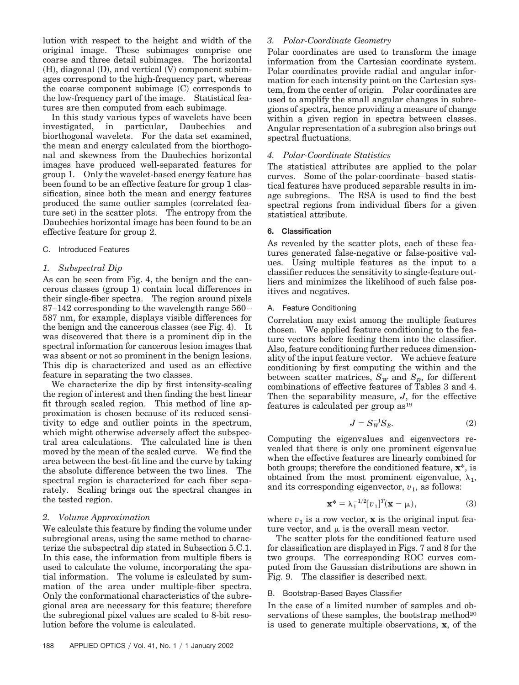lution with respect to the height and width of the original image. These subimages comprise one coarse and three detail subimages. The horizontal  $(H)$ , diagonal  $(D)$ , and vertical  $(V)$  component subimages correspond to the high-frequency part, whereas the coarse component subimage (C) corresponds to the low-frequency part of the image. Statistical features are then computed from each subimage.

In this study various types of wavelets have been investigated, in particular, Daubechies and biorthogonal wavelets. For the data set examined, the mean and energy calculated from the biorthogonal and skewness from the Daubechies horizontal images have produced well-separated features for group 1. Only the wavelet-based energy feature has been found to be an effective feature for group 1 classification, since both the mean and energy features produced the same outlier samples (correlated feature set) in the scatter plots. The entropy from the Daubechies horizontal image has been found to be an effective feature for group 2.

# C. Introduced Features

# *1. Subspectral Dip*

As can be seen from Fig. 4, the benign and the cancerous classes (group 1) contain local differences in their single-fiber spectra. The region around pixels 87–142 corresponding to the wavelength range 560– 587 nm, for example, displays visible differences for the benign and the cancerous classes (see Fig. 4). It was discovered that there is a prominent dip in the spectral information for cancerous lesion images that was absent or not so prominent in the benign lesions. This dip is characterized and used as an effective feature in separating the two classes.

We characterize the dip by first intensity-scaling the region of interest and then finding the best linear fit through scaled region. This method of line approximation is chosen because of its reduced sensitivity to edge and outlier points in the spectrum, which might otherwise adversely affect the subspectral area calculations. The calculated line is then moved by the mean of the scaled curve. We find the area between the best-fit line and the curve by taking the absolute difference between the two lines. The spectral region is characterized for each fiber separately. Scaling brings out the spectral changes in the tested region.

# *2. Volume Approximation*

We calculate this feature by finding the volume under subregional areas, using the same method to characterize the subspectral dip stated in Subsection 5.C.1. In this case, the information from multiple fibers is used to calculate the volume, incorporating the spatial information. The volume is calculated by summation of the area under multiple-fiber spectra. Only the conformational characteristics of the subregional area are necessary for this feature; therefore the subregional pixel values are scaled to 8-bit resolution before the volume is calculated.

#### **6. Classification**

As revealed by the scatter plots, each of these features generated false-negative or false-positive values. Using multiple features as the input to a classifier reduces the sensitivity to single-feature outliers and minimizes the likelihood of such false positives and negatives.

The statistical attributes are applied to the polar curves. Some of the polar-coordinate–based statistical features have produced separable results in image subregions. The RSA is used to find the best spectral regions from individual fibers for a given

Polar coordinates are used to transform the image information from the Cartesian coordinate system. Polar coordinates provide radial and angular information for each intensity point on the Cartesian system, from the center of origin. Polar coordinates are used to amplify the small angular changes in subregions of spectra, hence providing a measure of change within a given region in spectra between classes. Angular representation of a subregion also brings out

#### A. Feature Conditioning

spectral fluctuations.

statistical attribute.

*4. Polar-Coordinate Statistics*

*3. Polar-Coordinate Geometry*

Correlation may exist among the multiple features chosen. We applied feature conditioning to the feature vectors before feeding them into the classifier. Also, feature conditioning further reduces dimensionality of the input feature vector. We achieve feature conditioning by first computing the within and the between scatter matrices,  $S_W$  and  $S_B$ , for different combinations of effective features of Tables 3 and 4. Then the separability measure, *J*, for the effective features is calculated per group as<sup>19</sup>

$$
J = S_W^{-1} S_B. \tag{2}
$$

Computing the eigenvalues and eigenvectors revealed that there is only one prominent eigenvalue when the effective features are linearly combined for both groups; therefore the conditioned feature, **x**\*, is obtained from the most prominent eigenvalue,  $\lambda_1$ , and its corresponding eigenvector,  $v_1$ , as follows:

$$
\mathbf{x}^* = \lambda_1^{-1/2} [v_1]^T (\mathbf{x} - \mu), \tag{3}
$$

where  $v_1$  is a row vector, **x** is the original input feature vector, and  $\mu$  is the overall mean vector.

The scatter plots for the conditioned feature used for classification are displayed in Figs. 7 and 8 for the two groups. The corresponding ROC curves computed from the Gaussian distributions are shown in Fig. 9. The classifier is described next.

### B. Bootstrap-Based Bayes Classifier

In the case of a limited number of samples and observations of these samples, the bootstrap method<sup>20</sup> is used to generate multiple observations, **x**, of the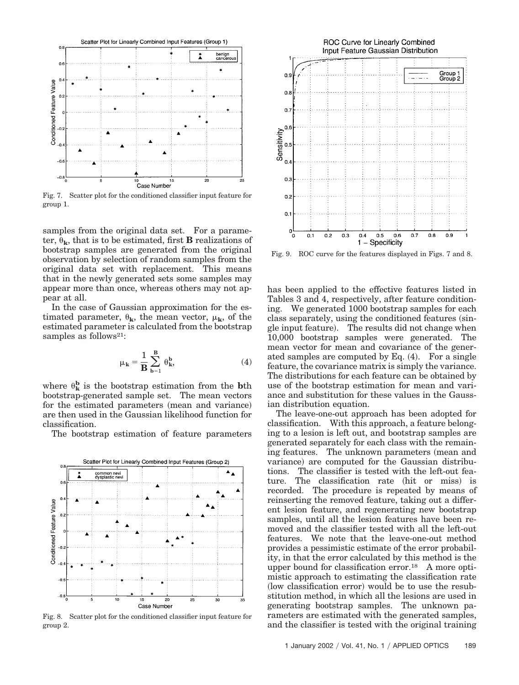

Fig. 7. Scatter plot for the conditioned classifier input feature for group 1.

samples from the original data set. For a parameter,  $\theta_k$ , that is to be estimated, first **B** realizations of bootstrap samples are generated from the original observation by selection of random samples from the original data set with replacement. This means that in the newly generated sets some samples may appear more than once, whereas others may not appear at all.

In the case of Gaussian approximation for the estimated parameter,  $\theta_{\mathbf{k}}$ , the mean vector,  $\mu_{\mathbf{k}}$ , of the estimated parameter is calculated from the bootstrap samples as follows<sup>21</sup>:

$$
\mu_{\mathbf{k}} = \frac{1}{\mathbf{B}} \sum_{\mathbf{b}=1}^{\mathbf{B}} \theta_{\mathbf{k}}^{\mathbf{b}},\tag{4}
$$

where  $\theta_{\mathbf{k}}^{\mathbf{b}}$  is the bootstrap estimation from the **b**th bootstrap-generated sample set. The mean vectors for the estimated parameters (mean and variance) are then used in the Gaussian likelihood function for classification.

The bootstrap estimation of feature parameters



Fig. 8. Scatter plot for the conditioned classifier input feature for group 2.



Fig. 9. ROC curve for the features displayed in Figs. 7 and 8.

has been applied to the effective features listed in Tables 3 and 4, respectively, after feature conditioning. We generated 1000 bootstrap samples for each class separately, using the conditioned features (single input feature). The results did not change when 10,000 bootstrap samples were generated. The mean vector for mean and covariance of the generated samples are computed by Eq.  $(4)$ . For a single feature, the covariance matrix is simply the variance. The distributions for each feature can be obtained by use of the bootstrap estimation for mean and variance and substitution for these values in the Gaussian distribution equation.

The leave-one-out approach has been adopted for classification. With this approach, a feature belonging to a lesion is left out, and bootstrap samples are generated separately for each class with the remaining features. The unknown parameters (mean and variance) are computed for the Gaussian distributions. The classifier is tested with the left-out feature. The classification rate (hit or miss) is recorded. The procedure is repeated by means of reinserting the removed feature, taking out a different lesion feature, and regenerating new bootstrap samples, until all the lesion features have been removed and the classifier tested with all the left-out features. We note that the leave-one-out method provides a pessimistic estimate of the error probability, in that the error calculated by this method is the upper bound for classification error.18 A more optimistic approach to estimating the classification rate (low classification error) would be to use the resubstitution method, in which all the lesions are used in generating bootstrap samples. The unknown parameters are estimated with the generated samples, and the classifier is tested with the original training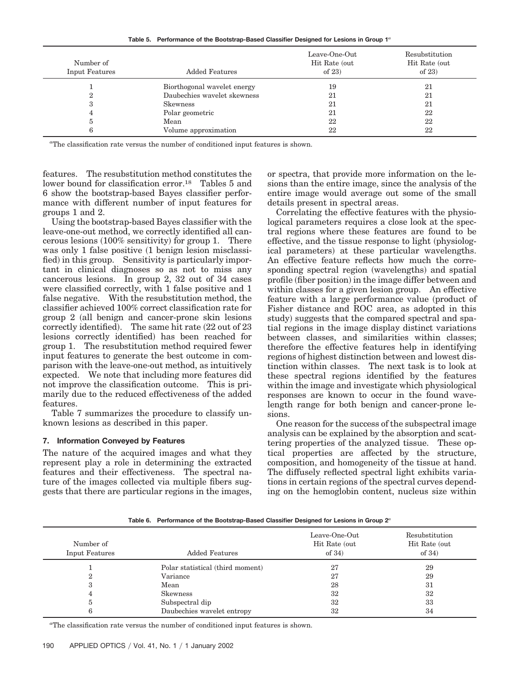**Table 5. Performance of the Bootstrap-Based Classifier Designed for Lesions in Group 1***<sup>a</sup>*

| Number of<br>Input Features | <b>Added Features</b>       | Leave-One-Out<br>Hit Rate (out<br>of $23)$ | Resubstitution<br>Hit Rate (out<br>of $23$ |
|-----------------------------|-----------------------------|--------------------------------------------|--------------------------------------------|
|                             | Biorthogonal wavelet energy | 19                                         | 21                                         |
| 2                           | Daubechies wavelet skewness | 21                                         | 21                                         |
| 3                           | <b>Skewness</b>             | 21                                         | 21                                         |
| 4                           | Polar geometric             | 21                                         | 22                                         |
| đ                           | Mean                        | 22                                         | 22                                         |
| 6                           | Volume approximation        | 22                                         | 22                                         |

*a* The classification rate versus the number of conditioned input features is shown.

features. The resubstitution method constitutes the lower bound for classification error.18 Tables 5 and 6 show the bootstrap-based Bayes classifier performance with different number of input features for groups 1 and 2.

Using the bootstrap-based Bayes classifier with the leave-one-out method, we correctly identified all cancerous lesions (100% sensitivity) for group 1. There was only 1 false positive (1 benign lesion misclassified) in this group. Sensitivity is particularly important in clinical diagnoses so as not to miss any cancerous lesions. In group 2, 32 out of 34 cases were classified correctly, with 1 false positive and 1 false negative. With the resubstitution method, the classifier achieved 100% correct classification rate for group 2 (all benign and cancer-prone skin lesions correctly identified). The same hit rate  $(22 \text{ out of } 23)$ lesions correctly identified) has been reached for group 1. The resubstitution method required fewer input features to generate the best outcome in comparison with the leave-one-out method, as intuitively expected. We note that including more features did not improve the classification outcome. This is primarily due to the reduced effectiveness of the added features.

Table 7 summarizes the procedure to classify unknown lesions as described in this paper.

# **7. Information Conveyed by Features**

The nature of the acquired images and what they represent play a role in determining the extracted features and their effectiveness. The spectral nature of the images collected via multiple fibers suggests that there are particular regions in the images,

or spectra, that provide more information on the lesions than the entire image, since the analysis of the entire image would average out some of the small details present in spectral areas.

Correlating the effective features with the physiological parameters requires a close look at the spectral regions where these features are found to be effective, and the tissue response to light (physiological parameters) at these particular wavelengths. An effective feature reflects how much the corresponding spectral region (wavelengths) and spatial profile (fiber position) in the image differ between and within classes for a given lesion group. An effective feature with a large performance value (product of Fisher distance and ROC area, as adopted in this study) suggests that the compared spectral and spatial regions in the image display distinct variations between classes, and similarities within classes; therefore the effective features help in identifying regions of highest distinction between and lowest distinction within classes. The next task is to look at these spectral regions identified by the features within the image and investigate which physiological responses are known to occur in the found wavelength range for both benign and cancer-prone lesions.

One reason for the success of the subspectral image analysis can be explained by the absorption and scattering properties of the analyzed tissue. These optical properties are affected by the structure, composition, and homogeneity of the tissue at hand. The diffusely reflected spectral light exhibits variations in certain regions of the spectral curves depending on the hemoglobin content, nucleus size within

**Table 6. Performance of the Bootstrap-Based Classifier Designed for Lesions in Group 2***<sup>a</sup>*

| Number of<br>Input Features | <b>Added Features</b>            | Leave-One-Out<br>Hit Rate (out<br>of $34)$ | Resubstitution<br>Hit Rate (out)<br>of $34)$ |
|-----------------------------|----------------------------------|--------------------------------------------|----------------------------------------------|
|                             | Polar statistical (third moment) | 27                                         | 29                                           |
| ີ                           | Variance                         | 27                                         | 29                                           |
| 3                           | Mean                             | 28                                         | 31                                           |
| 4                           | <b>Skewness</b>                  | 32                                         | 32                                           |
| đ                           | Subspectral dip                  | 32                                         | 33                                           |
|                             | Daubechies wavelet entropy       | 32                                         | 34                                           |
|                             |                                  |                                            |                                              |

*a* The classification rate versus the number of conditioned input features is shown.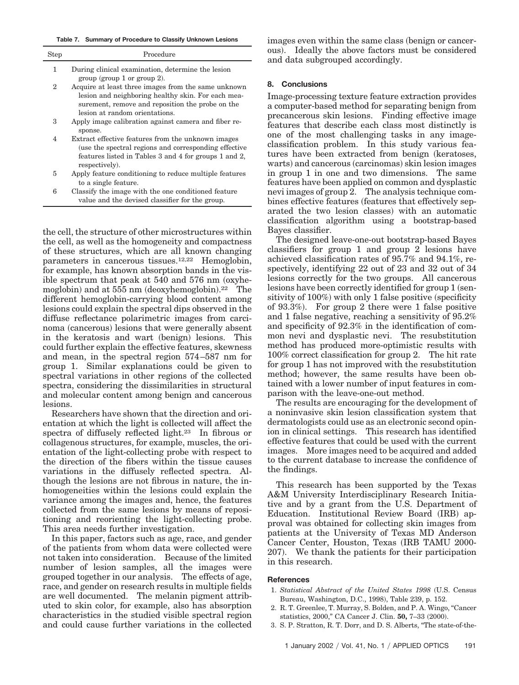**Table 7. Summary of Procedure to Classify Unknown Lesions**

| Step | Procedure                                                                                                                                                                               |
|------|-----------------------------------------------------------------------------------------------------------------------------------------------------------------------------------------|
| 1    | During clinical examination, determine the lesion<br>group (group 1 or group 2).                                                                                                        |
| 2    | Acquire at least three images from the same unknown<br>lesion and neighboring healthy skin. For each mea-                                                                               |
|      | surement, remove and reposition the probe on the<br>lesion at random orientations.                                                                                                      |
| 3    | Apply image calibration against camera and fiber re-<br>sponse.                                                                                                                         |
| 4    | Extract effective features from the unknown images<br>(use the spectral regions and corresponding effective)<br>features listed in Tables 3 and 4 for groups 1 and 2.<br>respectively). |
| 5    | Apply feature conditioning to reduce multiple features<br>to a single feature.                                                                                                          |
| 6    | Classify the image with the one conditioned feature<br>value and the devised classifier for the group.                                                                                  |

the cell, the structure of other microstructures within the cell, as well as the homogeneity and compactness of these structures, which are all known changing parameters in cancerous tissues.12,22 Hemoglobin, for example, has known absorption bands in the visible spectrum that peak at 540 and 576 nm (oxyhemoglobin) and at 555 nm (deoxyhemoglobin).<sup>22</sup> The different hemoglobin-carrying blood content among lesions could explain the spectral dips observed in the diffuse reflectance polarimetric images from carcinoma (cancerous) lesions that were generally absent in the keratosis and wart (benign) lesions. This could further explain the effective features, skewness and mean, in the spectral region 574–587 nm for group 1. Similar explanations could be given to spectral variations in other regions of the collected spectra, considering the dissimilarities in structural and molecular content among benign and cancerous lesions.

Researchers have shown that the direction and orientation at which the light is collected will affect the spectra of diffusely reflected light.23 In fibrous or collagenous structures, for example, muscles, the orientation of the light-collecting probe with respect to the direction of the fibers within the tissue causes variations in the diffusely reflected spectra. Although the lesions are not fibrous in nature, the inhomogeneities within the lesions could explain the variance among the images and, hence, the features collected from the same lesions by means of repositioning and reorienting the light-collecting probe. This area needs further investigation.

In this paper, factors such as age, race, and gender of the patients from whom data were collected were not taken into consideration. Because of the limited number of lesion samples, all the images were grouped together in our analysis. The effects of age, race, and gender on research results in multiple fields are well documented. The melanin pigment attributed to skin color, for example, also has absorption characteristics in the studied visible spectral region and could cause further variations in the collected

images even within the same class (benign or cancerous. Ideally the above factors must be considered and data subgrouped accordingly.

# **8. Conclusions**

Image-processing texture feature extraction provides a computer-based method for separating benign from precancerous skin lesions. Finding effective image features that describe each class most distinctly is one of the most challenging tasks in any imageclassification problem. In this study various features have been extracted from benign (keratoses, warts) and cancerous (carcinomas) skin lesion images in group 1 in one and two dimensions. The same features have been applied on common and dysplastic nevi images of group 2. The analysis technique combines effective features (features that effectively separated the two lesion classes) with an automatic classification algorithm using a bootstrap-based Bayes classifier.

The designed leave-one-out bootstrap-based Bayes classifiers for group 1 and group 2 lesions have achieved classification rates of 95.7% and 94.1%, respectively, identifying 22 out of 23 and 32 out of 34 lesions correctly for the two groups. All cancerous lesions have been correctly identified for group 1 (sensitivity of 100%) with only 1 false positive (specificity of  $93.3\%$ ). For group 2 there were 1 false positive and 1 false negative, reaching a sensitivity of 95.2% and specificity of 92.3% in the identification of common nevi and dysplastic nevi. The resubstitution method has produced more-optimistic results with 100% correct classification for group 2. The hit rate for group 1 has not improved with the resubstitution method; however, the same results have been obtained with a lower number of input features in comparison with the leave-one-out method.

The results are encouraging for the development of a noninvasive skin lesion classification system that dermatologists could use as an electronic second opinion in clinical settings. This research has identified effective features that could be used with the current images. More images need to be acquired and added to the current database to increase the confidence of the findings.

This research has been supported by the Texas A&M University Interdisciplinary Research Initiative and by a grant from the U.S. Department of Education. Institutional Review Board (IRB) approval was obtained for collecting skin images from patients at the University of Texas MD Anderson Cancer Center, Houston, Texas (IRB TAMU 2000-207. We thank the patients for their participation in this research.

# **References**

- 1. *Statistical Abstract of the United States 1998* (U.S. Census Bureau, Washington, D.C., 1998, Table 239, p. 152.
- 2. R. T. Greenlee, T. Murray, S. Bolden, and P. A. Wingo, "Cancer statistics, 2000," CA Cancer J. Clin. **50,** 7–33 (2000).
- 3. S. P. Stratton, R. T. Dorr, and D. S. Alberts, "The state-of-the-